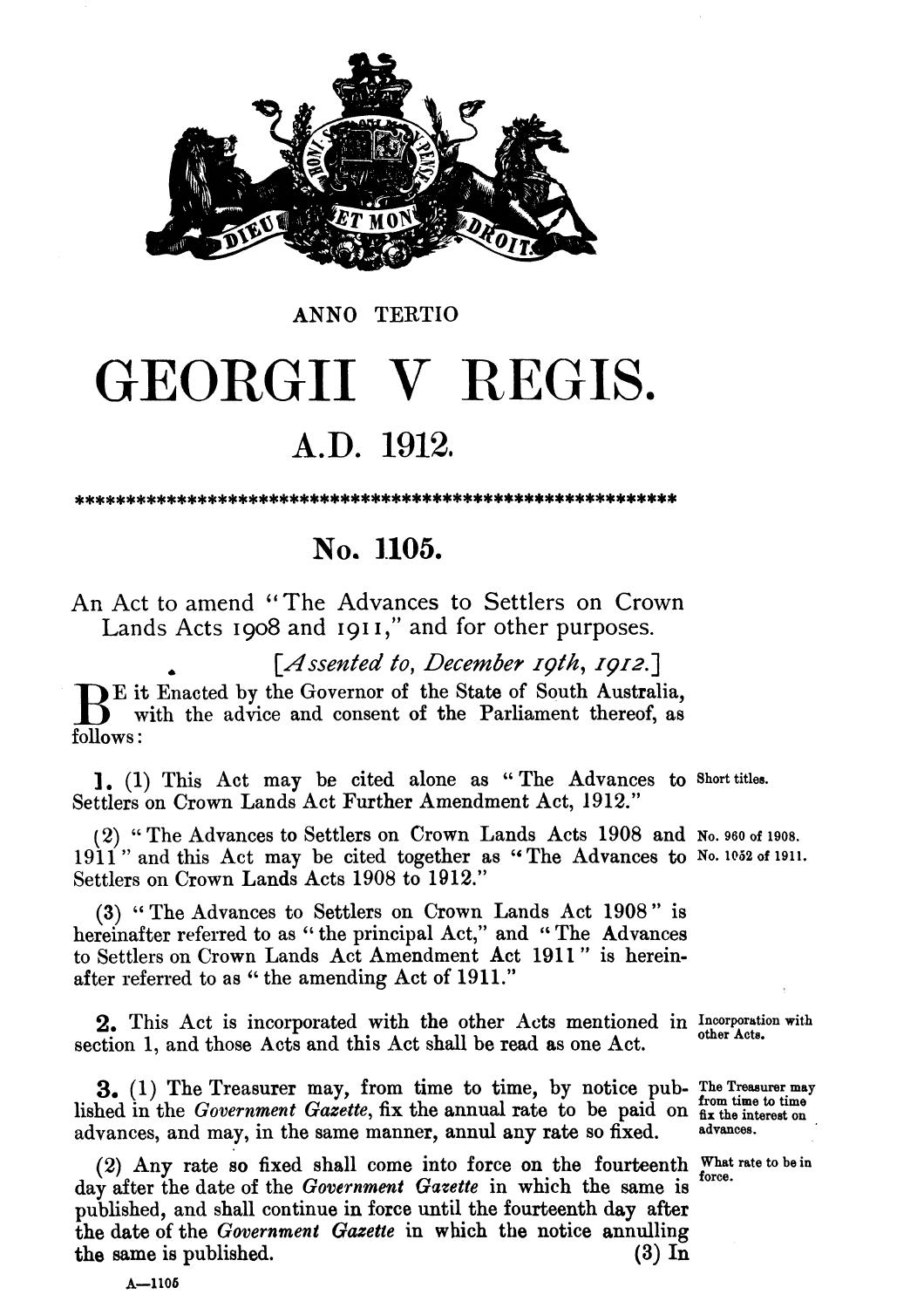

## GEORGII V REGIS. **A.D. 1912.**

**ANNO** TERTIO

## No. 1105.

An Act to amend "The Advances to Settlers on Crown Lands Acts **1908** and 191 I," and for other purposes.

*[Assented to, December rpth,* **1912.1** 

 $\sum$  E it Enacted by the Governor of the State of South Australia, with the advice and consent of the Parliament thereof, as  $\sum_{n=1}^{\infty}$ follows :

**1, (1)** This Act may be cited alone as " The Advances to **Short titles.**  Settlers on Crown Lands Act Further Amendment Act, **1912."** 

(2) "The Advances to Settlers on Crown Lands Acts 1908 and No. 960 of 1908. 1911" and this Act may be cited together as "The Advances to No. 1052 of 1911. Settlers on Crown Lands Acts **1908** to **1912."** 

**(3)** The Advances to Settlers on Crown Lands Act 1908" is hereinafter referred to as "the principal Act," and "The Advances to Settlers on Crown Lands Act Amendment Act **191** 1 " is hereinafter referred to as '' the amending Act of **1911."** 

2, This Act is incorporated with the other Acts mentioned in **Incorporation with**  section 1, and those Acts and this Act shall be read as one Act.

**3.** (1) The Treasurer may, from time to time, by notice pub- The Treasurer may lished in the *Government Gazette*, fix the annual rate to be paid on  $\frac{f_{\text{trm}}}{f_{\text{int}}}\$  advances, and may, in the same manner, annul any

(2) **Any** rate so fixed shall come into force on the fourteenth **What rate tobein**  day after the date of the *Government Gazette* in which the same is published, and shall continue in force until the fourteenth day after the date of the *Government Gazetie* in wbich *the* notice annulling **the** same is published. **(3) In** 

 $A - 1105$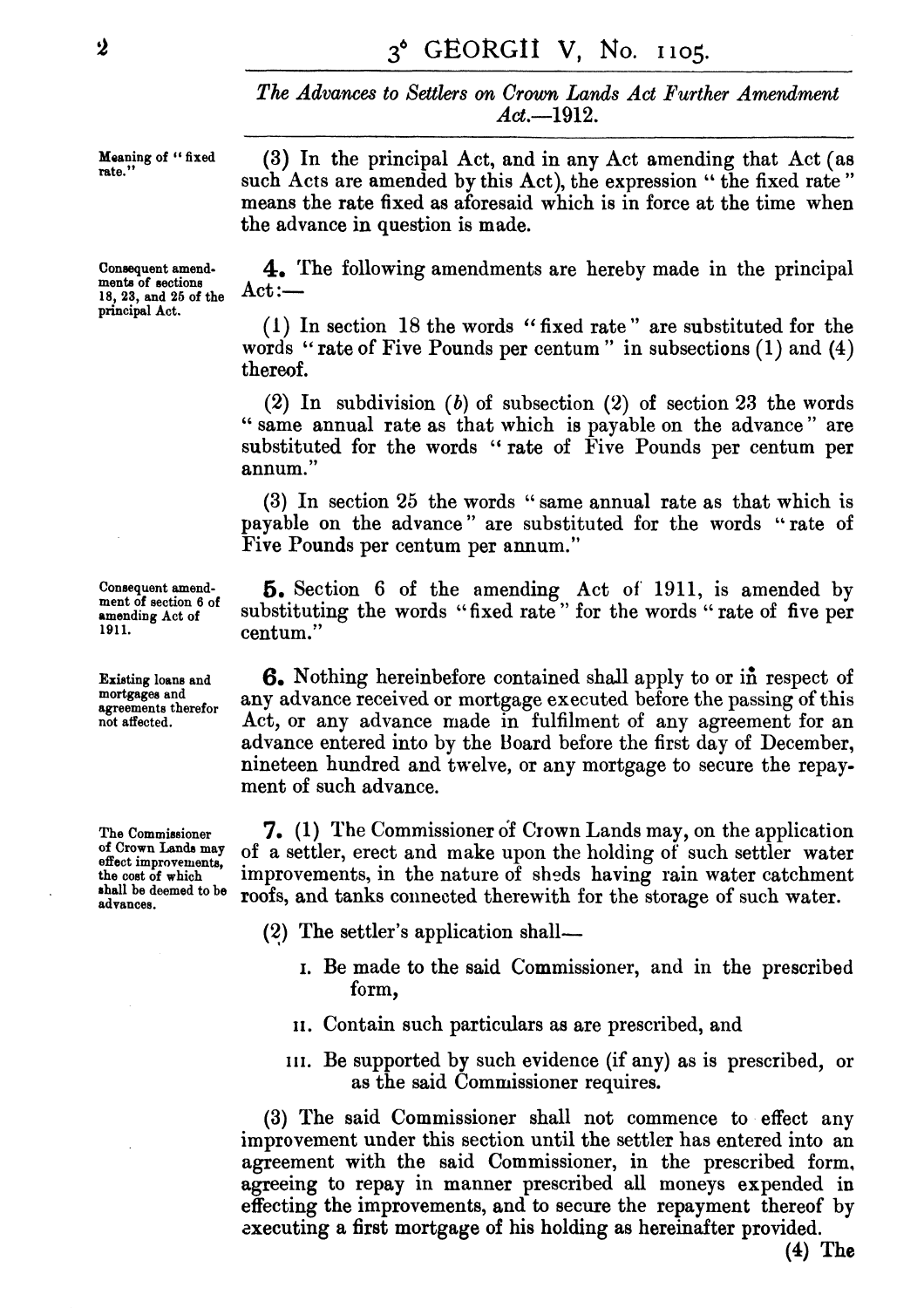*The Advances* **to Settlers on Crown, Lands** *Act Purther* **Amendment**   $Act. = 1912.$ 

18, 23, and 25 of the **principal Act.** 

**Consequent amend-1911. 1911. 1911. 1911. 1911. 1911. 1911. 1911. 1911. 1911. 1911. 1911. 1911. 1911. 1911. 1911. 1911. 1911. 1911. 1911. 1911. 1911. 1911. 1911. 1911. 1911. 1911. 1911.** 

**mortgagee and** 

**Moaning of "fixed (3)** In the principal Act, and in any Act amending that Act (as **rate."** such Acts are amended by this Act), the expression " the fixed rate " means the rate fixed **as** aforesaid which is in force at the time when the advance in question is made.

Consequent amend-<br>ments of sections  $\mathbf{A}$ . The following amendments are hereby made in the principal<br>18.23 and 25 of the  $\det$ 

(l) In section 18 the words " fixed rate " are substituted for the words "rate of Five Pounds per centum" in subsections  $(1)$  and  $(4)$ thereof.

**(2)** In subdivision *(b)* of subsection **(2)** of section **23** the words " same annual rate as that which is payable on the advance " are substituted for the words "rate of Five Pounds per centum per annum. "

**(3)** In section 25 the words " same annual rate as that which is payable on the advance" are substituted for the words "rate of Five Pounds per centum per annum."

Consequent amend-<br>ment of section 6 of  $\frac{5}{2}$ . Section 6 of the amending Act of 1911, is amended by **amending Act of** substituting the words "fixed rate" for the words " rate of five per

**Existing loans and <b>6.** Nothing hereinbefore contained shall apply to or in respect of mortgages and **agreements** therefor any advance received or mortgage executed before the passing of this not affected. Act. or any advance made in fulfilment of any agreement for an Act, or any advance made in fulfilment of any agreement for an advance entered into by the Hoard before the first day of December, nineteen hundred and twelve, or any mortgage to secure the repayment of such advance.

**The Commissioner 7.** (1) The Commissioner of Crown Lands may, on the application<br>of Crown Lands may of a sattler gract and make unon the holding of such settler water **Lands may** of **a** settler, erect and make upon the holding of such settler water **effect improvements,**  the cost of which improvements, in the nature of sheds having rain water catchment<br>shall be deemed to be roofs and tanks connected therewith for the storage of such water **shall be deemed to be** roofs, and tanks connected therewith for the storage of such water.

- (2) The settler's application shall-
	- I. Be made to the said Commissioner, and in the prescribed form,
	- **11.** Contain such particulars as are prescribed, and
	- **111.** Be supported by such evidence (if any) as is prescribed, or as the said Commissioner requires.

**(3)** The said Commissioner shall not commence to effect any improvement under this section until the settler has entered into an agreement with the said Commissioner, in the prescribed form, agreeing to repay in manner prescribed all moneys expended in effecting the improvements, and to secure the repayment thereof by zxecuting a first mortgage of his holding as hereinafter provided.

 $\dot{2}$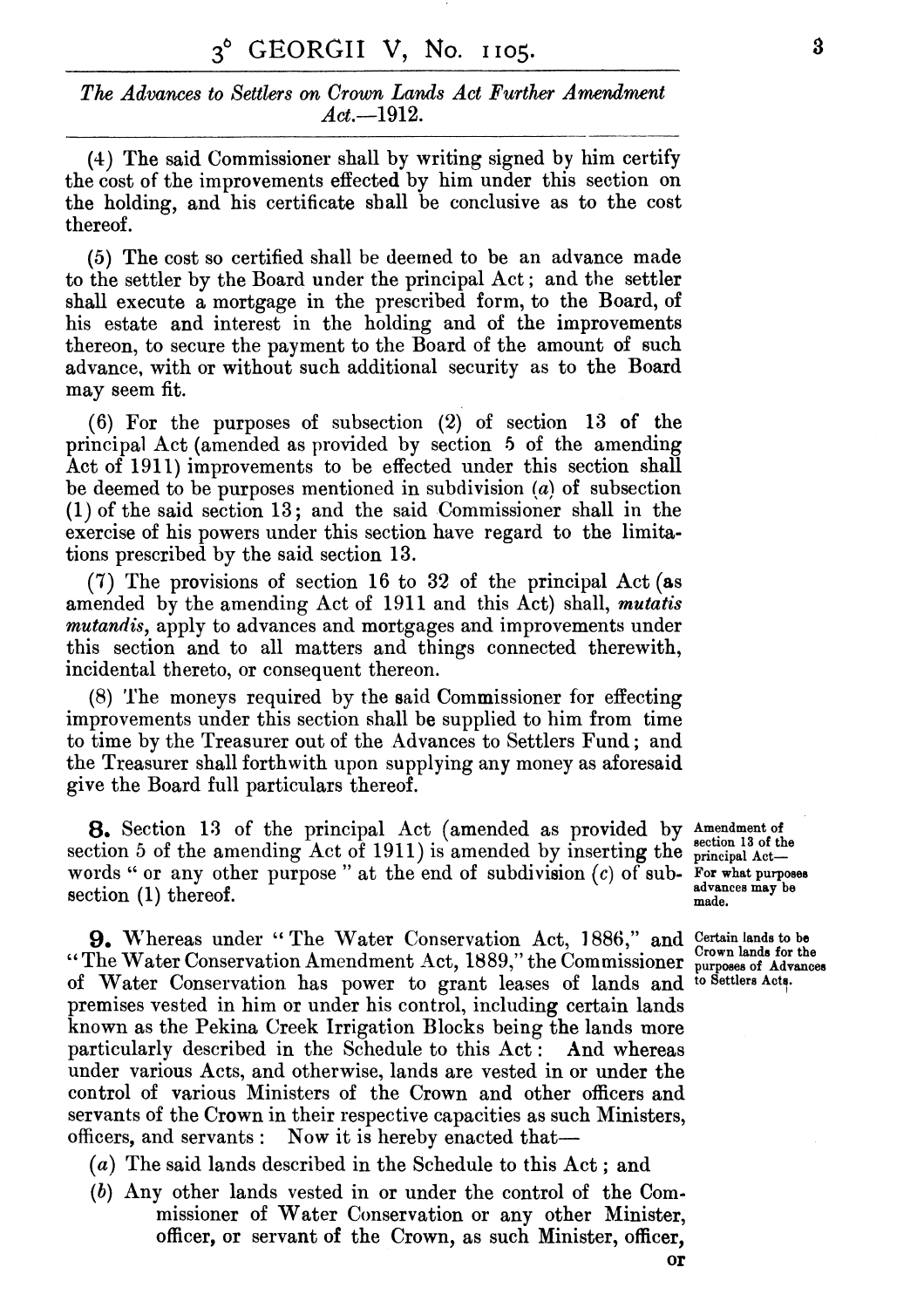## *The Advances to Settlers* **on** *Crown Lads Act Purther Amendment Act.1912.*

(4) The said Commissioner shall by writing signed by him certify the cost of the improvements effected by him under this section on the holding, and his certificate shall be conclusive as to the cost thereof.

*(5)* The cost so certified shall be deemed to be an advance made to the settler by the Board under the principal Act ; and the settler shall execute a mortgage in the prescribed form, to the Board, of his estate and interest in the holding and of the improvements thereon, to secure the payment to the Board of the amount of such advance, with or without such additional security as to the Board may seem fit.

(6) For the purposes of subsection **(2)** of section **13** of the principal Act (amended as provided by section **5** of the amending Act of **1911)** improvements to be effected under this section shall be deemed to be purposes mentioned in subdivision  $(a)$  of subsection **(1)** of the said section **13** ; and the said Commissioner shall in the exercise of his powers under this section have regard to the limitations prescribed by the said section **13.** 

(7) The provisions of section **16** to **32** of the principal Act (as amended by the amending Act of **1911** and this Act) shall, *mutatis mutandis,* apply to advances and mortgages and improvements under this section and to all matters and things connected therewith, incidental thereto, or consequent thereon.

(8) 'l'he moneys required by the said Commissioner for effecting improvements under this section shall be supplied to him from time to time by the Treasurer out of the Advances to Settlers Fund; and the Treasurer shall forthwith upon supplying any money as aforesaid give the Board full particulars thereof.

8. Section **13** of the principal Act (amended as provided by **Amendmentof 8.** Section **13** of the principal Act (amended by inserting the section 3 of the amending Act of 1911) is amended by inserting the **principal** Act words " or any other purpose" at the end of subdivision  $(c)$  of sub- **For what purposes** accrition  $(1)$  thereof section (1) thereof. **advances** made.

**9.** Whereas under "The Water Conservation Act, 1886," and Certain lands to be The Water Conservation Amendment Act, 1889," the Commissioner purposes of Advances **Crown ands for Conservation Amendment Act, 1889," the Commissioner purposes of Adv** of Water Conservation has power to grant leases of lands and to Settlers Acts. of Water Conservation has power to grant leases of lands and premises vested in him or under his control, including certain lands known as the Pekina Creek Irrigation Blocks being the lands more particularly described in the Schedule to this Act: And whereas under various Acts, and otherwise, lands are vested in or under the control of various Ministers of the Crown and other officers and servants of the Crown in their respective capacities as such Ministers, officers, and servants : Now it is hereby enacted that—

*(a)* The said lands described in the Schedule to this Act ; and

*(b)* Any other lands vested in or under the control of the Commissioner of Water Conservation or any other Minister, officer, or servant of the Crown, as such Minister, officer,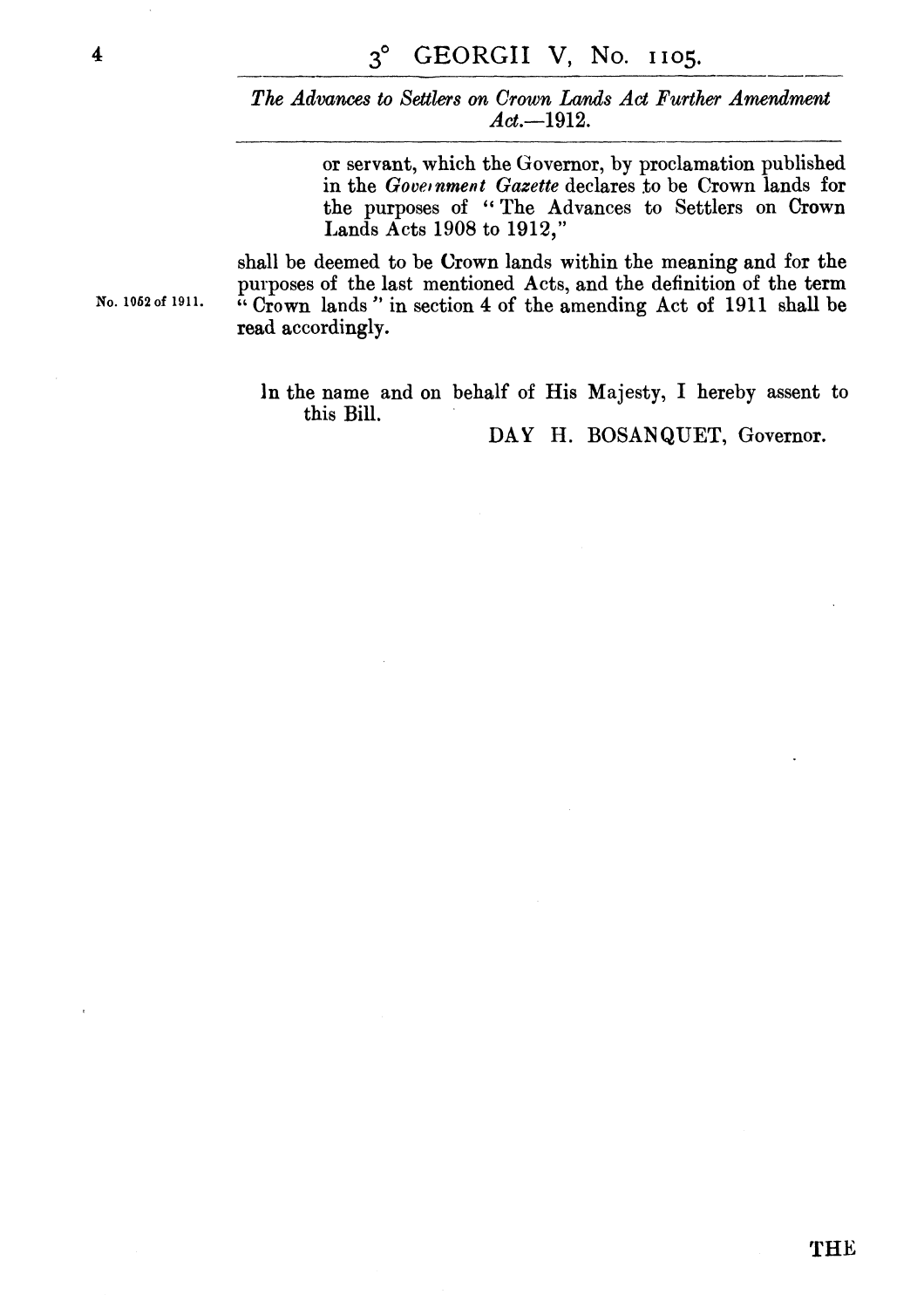*The* **Advances** *to Settlers* **on** *Crown* **Lcvnds** *Act Further Amendmelnt*  **Act.--1912.** 

> or servant, which the Governor, by proclamation published in the *Government Gazette* declares to be Crown lands for the purposes of "The Advances to Settlers on Crown Lands Acts **1908** to **1912,"**

shall be deemed to be Crown lands within the meaning and for the purposes of the last mentioned Acts, and the definition of the term Crown lands " in section 4 of the amending Act of **191 1** shall be read accordingly.

In the name and on behalf of His Majesty, I hereby assent to this Bill.

DAY H. BOSANQUET, Governor.

**No. 1062of 1911**